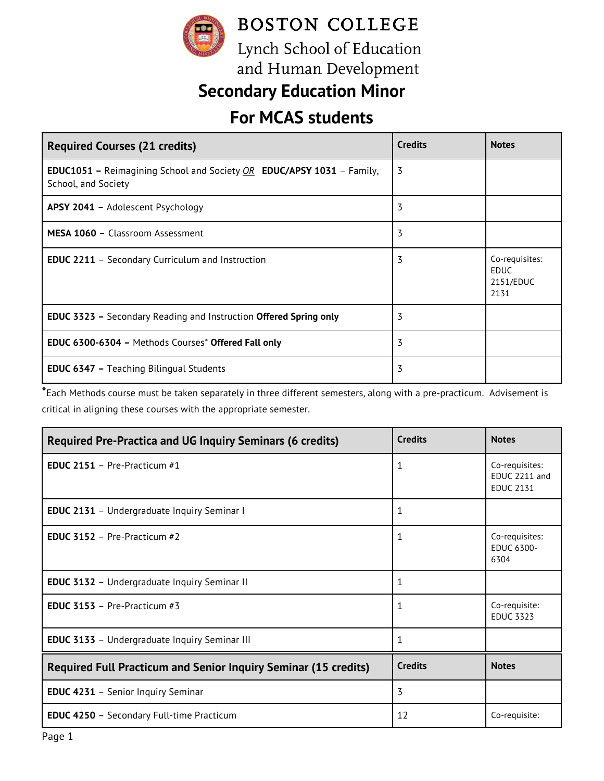

and Human Development

# **Secondary Education Minor**

## **For MCAS students**

| <b>Required Courses (21 credits)</b>                                                                         | <b>Credits</b> | <b>Notes</b>                                       |
|--------------------------------------------------------------------------------------------------------------|----------------|----------------------------------------------------|
| <b>EDUC1051</b> – Reimagining School and Society $OR$ <b>EDUC/APSY 1031</b> – Family,<br>School, and Society | 3              |                                                    |
| APSY 2041 - Adolescent Psychology                                                                            | 3              |                                                    |
| MESA 1060 - Classroom Assessment                                                                             | 3              |                                                    |
| <b>EDUC 2211</b> - Secondary Curriculum and Instruction                                                      | 3              | Co-requisites:<br><b>EDUC</b><br>2151/EDUC<br>2131 |
| <b>EDUC 3323 - Secondary Reading and Instruction Offered Spring only</b>                                     | 3              |                                                    |
| <b>EDUC 6300-6304 - Methods Courses* Offered Fall only</b>                                                   | 3              |                                                    |
| <b>EDUC 6347 - Teaching Bilingual Students</b>                                                               | 3              |                                                    |

\*Each Methods course must be taken separately in three different semesters, along with a pre-practicum. Advisement is critical in aligning these courses with the appropriate semester.

| <b>Required Pre-Practica and UG Inquiry Seminars (6 credits)</b>       | <b>Credits</b> | <b>Notes</b>                                        |
|------------------------------------------------------------------------|----------------|-----------------------------------------------------|
| <b>EDUC 2151</b> - Pre-Practicum $#1$                                  | 1              | Co-requisites:<br>EDUC 2211 and<br><b>EDUC 2131</b> |
| <b>EDUC 2131</b> - Undergraduate Inquiry Seminar I                     | 1              |                                                     |
| <b>EDUC 3152</b> - Pre-Practicum $#2$                                  | $\mathbf{1}$   | Co-requisites:<br><b>EDUC 6300-</b><br>6304         |
| <b>EDUC 3132</b> - Undergraduate Inquiry Seminar II                    | $\mathbf{1}$   |                                                     |
| <b>EDUC 3153</b> - Pre-Practicum $#3$                                  | $\mathbf{1}$   | Co-requisite:<br><b>EDUC 3323</b>                   |
| <b>EDUC 3133</b> - Undergraduate Inquiry Seminar III                   | 1              |                                                     |
| <b>Required Full Practicum and Senior Inquiry Seminar (15 credits)</b> | <b>Credits</b> | <b>Notes</b>                                        |
| <b>EDUC 4231</b> - Senior Inquiry Seminar                              | 3              |                                                     |
| <b>EDUC 4250</b> - Secondary Full-time Practicum                       | 12             | Co-requisite:                                       |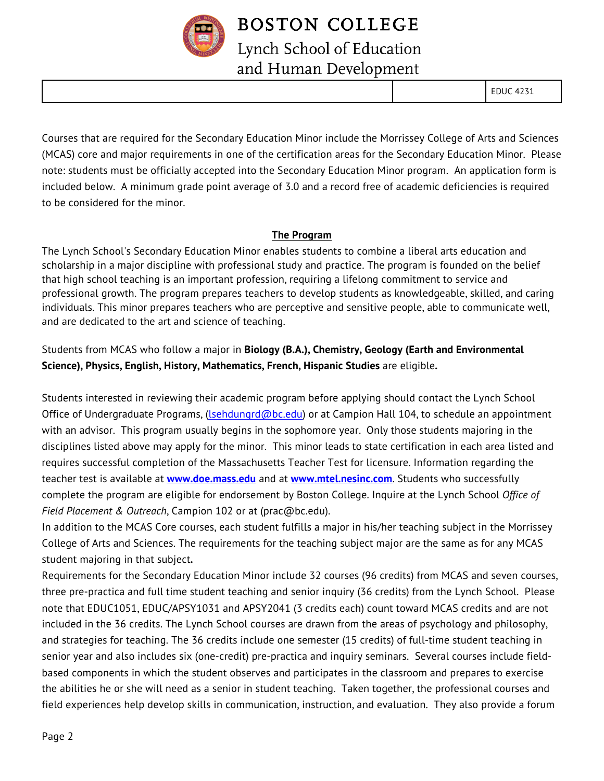

### **BOSTON COLLEGE** Lynch School of Education and Human Development

EDUC 4231

Courses that are required for the Secondary Education Minor include the Morrissey College of Arts and Sciences (MCAS) core and major requirements in one of the certification areas for the Secondary Education Minor. Please note: students must be officially accepted into the Secondary Education Minor program. An application form is included below. A minimum grade point average of 3.0 and a record free of academic deficiencies is required to be considered for the minor.

#### **The Program**

The Lynch School's Secondary Education Minor enables students to combine a liberal arts education and scholarship in a major discipline with professional study and practice. The program is founded on the belief that high school teaching is an important profession, requiring a lifelong commitment to service and professional growth. The program prepares teachers to develop students as knowledgeable, skilled, and caring individuals. This minor prepares teachers who are perceptive and sensitive people, able to communicate well, and are dedicated to the art and science of teaching.

### Students from MCAS who follow a major in **Biology (B.A.), Chemistry, Geology (Earth and Environmental Science), Physics, English, History, Mathematics, French, Hispanic Studies** are eligible**.**

Students interested in reviewing their academic program before applying should contact the Lynch School Office of Undergraduate Programs, (Isehdungrd@bc.edu) or at Campion Hall 104, to schedule an appointment with an advisor. This program usually begins in the sophomore year.Only those students majoring in the disciplines listed above may apply for the minor. This minor leads to state certification in each area listed and requires successful completion of the Massachusetts Teacher Test for licensure. Information regarding the teacher test is available at **www.doe.mass.edu** and at **www.mtel.nesinc.com**. Students who successfully complete the program are eligible for endorsement by Boston College. Inquire at the Lynch School *Office of Field Placement & Outreach*, Campion 102 or at (prac@bc.edu).

In addition to the MCAS Core courses, each student fulfills a major in his/her teaching subject in the Morrissey College of Arts and Sciences. The requirements for the teaching subject major are the same as for any MCAS student majoring in that subject*.*

Requirements for the Secondary Education Minor include 32 courses (96 credits) from MCAS and seven courses, three pre-practica and full time student teaching and senior inquiry (36 credits) from the Lynch School. Please note that EDUC1051, EDUC/APSY1031 and APSY2041 (3 credits each) count toward MCAS credits and are not included in the 36 credits. The Lynch School courses are drawn from the areas of psychology and philosophy, and strategies for teaching. The 36 credits include one semester (15 credits) of full-time student teaching in senior year and also includes six (one-credit) pre-practica and inquiry seminars. Several courses include fieldbased components in which the student observes and participates in the classroom and prepares to exercise the abilities he or she will need as a senior in student teaching. Taken together, the professional courses and field experiences help develop skills in communication, instruction, and evaluation. They also provide a forum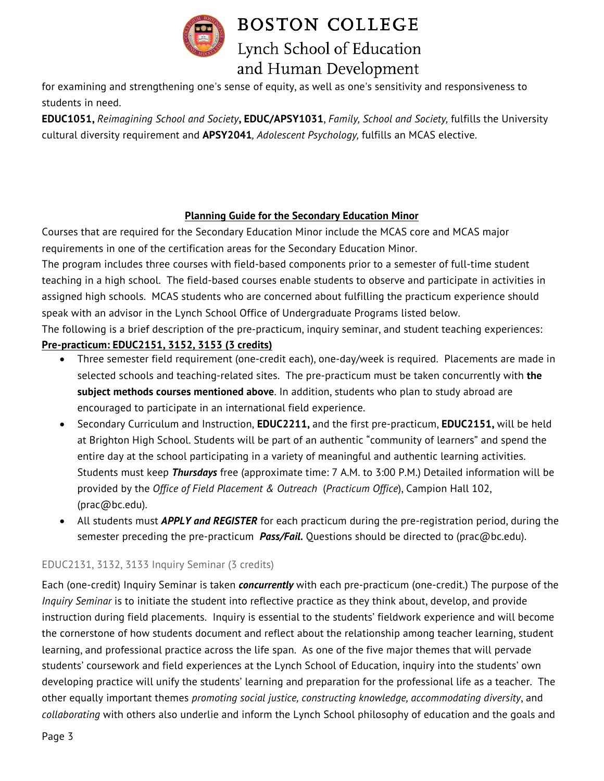

**BOSTON COLLEGE** Lynch School of Education and Human Development

for examining and strengthening one's sense of equity, as well as one's sensitivity and responsiveness to students in need.

**EDUC1051,** *Reimagining School and Society***, EDUC/APSY1031**, *Family, School and Society,* fulfills the University cultural diversity requirement and **APSY2041***, Adolescent Psychology,* fulfills an MCAS elective.

#### **Planning Guide for the Secondary Education Minor**

Courses that are required for the Secondary Education Minor include the MCAS core and MCAS major requirements in one of the certification areas for the Secondary Education Minor.

The program includes three courses with field-based components prior to a semester of full-time student teaching in a high school. The field-based courses enable students to observe and participate in activities in assigned high schools. MCAS students who are concerned about fulfilling the practicum experience should speak with an advisor in the Lynch School Office of Undergraduate Programs listed below.

The following is a brief description of the pre-practicum, inquiry seminar, and student teaching experiences:

### **Pre-practicum: EDUC2151, 3152, 3153 (3 credits)**

- Three semester field requirement (one-credit each), one-day/week is required. Placements are made in selected schools and teaching-related sites. The pre-practicum must be taken concurrently with **the subject methods courses mentioned above**. In addition, students who plan to study abroad are encouraged to participate in an international field experience.
- Secondary Curriculum and Instruction, **EDUC2211,** and the first pre-practicum, **EDUC2151,** will be held at Brighton High School. Students will be part of an authentic "community of learners" and spend the entire day at the school participating in a variety of meaningful and authentic learning activities. Students must keep *Thursdays* free (approximate time: 7 A.M. to 3:00 P.M.) Detailed information will be provided by the *Office of Field Placement & Outreach* (*Practicum Office*), Campion Hall 102, (prac@bc.edu).
- All students must *APPLY and REGISTER* for each practicum during the pre-registration period, during the semester preceding the pre-practicum *Pass/Fail.* Questions should be directed to (prac@bc.edu).

#### EDUC2131, 3132, 3133 Inquiry Seminar (3 credits)

Each (one-credit) Inquiry Seminar is taken *concurrently* with each pre-practicum (one-credit.) The purpose of the *Inquiry Seminar* is to initiate the student into reflective practice as they think about, develop, and provide instruction during field placements. Inquiry is essential to the students' fieldwork experience and will become the cornerstone of how students document and reflect about the relationship among teacher learning, student learning, and professional practice across the life span. As one of the five major themes that will pervade students' coursework and field experiences at the Lynch School of Education, inquiry into the students' own developing practice will unify the students' learning and preparation for the professional life as a teacher. The other equally important themes *promoting social justice, constructing knowledge, accommodating diversity*, and *collaborating* with others also underlie and inform the Lynch School philosophy of education and the goals and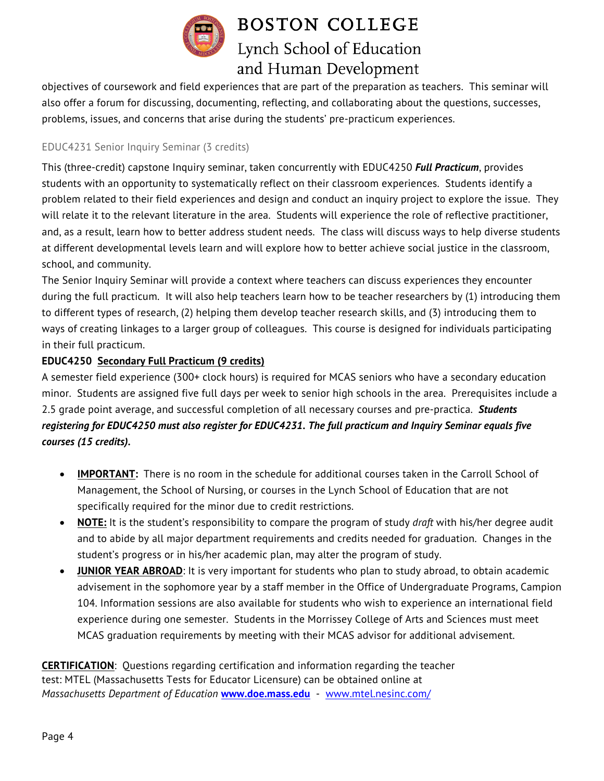

# **BOSTON COLLEGE** Lynch School of Education and Human Development

objectives of coursework and field experiences that are part of the preparation as teachers. This seminar will also offer a forum for discussing, documenting, reflecting, and collaborating about the questions, successes, problems, issues, and concerns that arise during the students' pre-practicum experiences.

### EDUC4231 Senior Inquiry Seminar (3 credits)

This (three-credit) capstone Inquiry seminar, taken concurrently with EDUC4250 *Full Practicum*, provides students with an opportunity to systematically reflect on their classroom experiences. Students identify a problem related to their field experiences and design and conduct an inquiry project to explore the issue. They will relate it to the relevant literature in the area. Students will experience the role of reflective practitioner, and, as a result, learn how to better address student needs. The class will discuss ways to help diverse students at different developmental levels learn and will explore how to better achieve social justice in the classroom, school, and community.

The Senior Inquiry Seminar will provide a context where teachers can discuss experiences they encounter during the full practicum. It will also help teachers learn how to be teacher researchers by (1) introducing them to different types of research, (2) helping them develop teacher research skills, and (3) introducing them to ways of creating linkages to a larger group of colleagues. This course is designed for individuals participating in their full practicum.

#### **EDUC4250 Secondary Full Practicum (9 credits)**

A semester field experience (300+ clock hours) is required for MCAS seniors who have a secondary education minor. Students are assigned five full days per week to senior high schools in the area. Prerequisites include a 2.5 grade point average, and successful completion of all necessary courses and pre-practica. *Students registering for EDUC4250 must also register for EDUC4231. The full practicum and Inquiry Seminar equals five courses (15 credits).*

- **IMPORTANT:** There is no room in the schedule for additional courses taken in the Carroll School of Management, the School of Nursing, or courses in the Lynch School of Education that are not specifically required for the minor due to credit restrictions.
- **NOTE:** It is the student's responsibility to compare the program of study *draft* with his/her degree audit and to abide by all major department requirements and credits needed for graduation. Changes in the student's progress or in his/her academic plan, may alter the program of study.
- **JUNIOR YEAR ABROAD**: It is very important for students who plan to study abroad, to obtain academic advisement in the sophomore year by a staff member in the Office of Undergraduate Programs, Campion 104. Information sessions are also available for students who wish to experience an international field experience during one semester. Students in the Morrissey College of Arts and Sciences must meet MCAS graduation requirements by meeting with their MCAS advisor for additional advisement.

**CERTIFICATION**: Questions regarding certification and information regarding the teacher test: MTEL (Massachusetts Tests for Educator Licensure) can be obtained online at *Massachusetts Department of Education* **www.doe.mass.edu** - www.mtel.nesinc.com/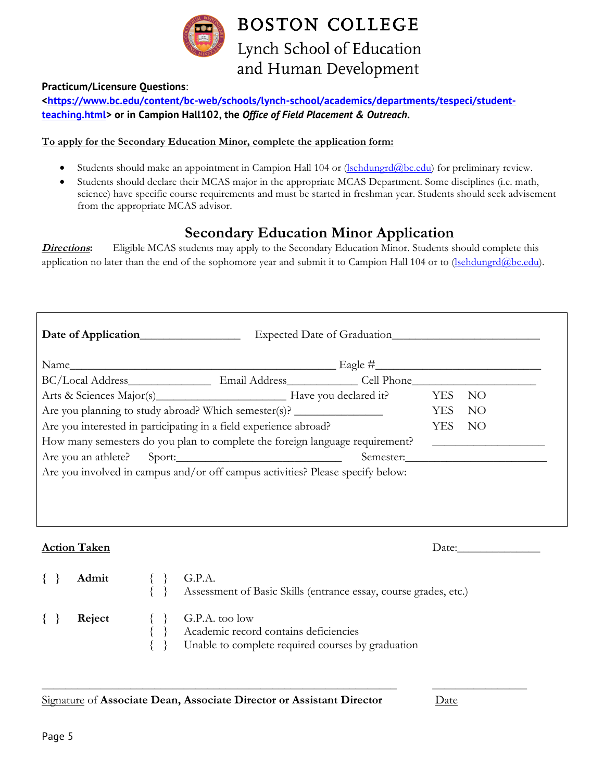

#### **Practicum/Licensure Questions**:

**<https://www.bc.edu/content/bc-web/schools/lynch-school/academics/departments/tespeci/studentteaching.html> or in Campion Hall102, the** *Office of Field Placement & Outreach***.**

#### **To apply for the Secondary Education Minor, complete the application form:**

- Students should make an appointment in Campion Hall 104 or (lsehdungrd@bc.edu) for preliminary review.
- Students should declare their MCAS major in the appropriate MCAS Department. Some disciplines (i.e. math, science) have specific course requirements and must be started in freshman year. Students should seek advisement from the appropriate MCAS advisor.

### **Secondary Education Minor Application**

**Directions:** Eligible MCAS students may apply to the Secondary Education Minor. Students should complete this application no later than the end of the sophomore year and submit it to Campion Hall 104 or to (sehdungrd@bc.edu).

|                                                                   | Arts & Sciences Major(s) Have you declared it? YES                                                   |  |                                                                  |  | NO    |  |  |
|-------------------------------------------------------------------|------------------------------------------------------------------------------------------------------|--|------------------------------------------------------------------|--|-------|--|--|
|                                                                   | Are you planning to study abroad? Which semester(s)? ___________________________<br><b>YES</b><br>NO |  |                                                                  |  |       |  |  |
| Are you interested in participating in a field experience abroad? |                                                                                                      |  |                                                                  |  | - NO  |  |  |
|                                                                   | How many semesters do you plan to complete the foreign language requirement?                         |  |                                                                  |  |       |  |  |
|                                                                   | Are you an athlete? Sport: Semester.                                                                 |  |                                                                  |  |       |  |  |
|                                                                   | Are you involved in campus and/or off campus activities? Please specify below:                       |  |                                                                  |  |       |  |  |
|                                                                   |                                                                                                      |  |                                                                  |  |       |  |  |
|                                                                   |                                                                                                      |  |                                                                  |  |       |  |  |
|                                                                   |                                                                                                      |  |                                                                  |  |       |  |  |
|                                                                   |                                                                                                      |  |                                                                  |  |       |  |  |
| <b>Action Taken</b>                                               |                                                                                                      |  |                                                                  |  | Date: |  |  |
|                                                                   |                                                                                                      |  |                                                                  |  |       |  |  |
| Admit                                                             | $\{\}$ G.P.A.                                                                                        |  |                                                                  |  |       |  |  |
|                                                                   |                                                                                                      |  | Assessment of Basic Skills (entrance essay, course grades, etc.) |  |       |  |  |
|                                                                   |                                                                                                      |  |                                                                  |  |       |  |  |

**{ } Reject** { } G.P.A. too low

- Academic record contains deficiencies
- Unable to complete required courses by graduation

\_\_\_\_\_\_\_\_\_\_\_\_\_\_\_\_\_\_\_\_\_\_\_\_\_\_\_\_\_\_\_\_\_\_\_\_\_\_\_\_\_\_\_\_\_\_\_\_\_\_\_\_\_\_\_\_\_\_\_\_ \_\_\_\_\_\_\_\_\_\_\_\_\_\_\_\_

Signature of **Associate Dean, Associate Director or Assistant Director** Date